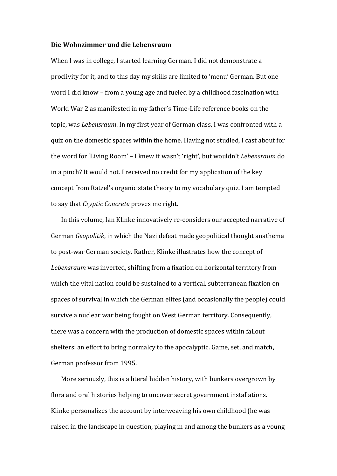## **Die Wohnzimmer und die Lebensraum**

When I was in college, I started learning German. I did not demonstrate a proclivity for it, and to this day my skills are limited to 'menu' German. But one word I did know – from a young age and fueled by a childhood fascination with World War 2 as manifested in my father's Time-Life reference books on the topic, was *Lebensraum*. In my first year of German class, I was confronted with a quiz on the domestic spaces within the home. Having not studied, I cast about for the word for 'Living Room' – I knew it wasn't 'right', but wouldn't *Lebensraum* do in a pinch? It would not. I received no credit for my application of the key concept from Ratzel's organic state theory to my vocabulary quiz. I am tempted to say that *Cryptic Concrete* proves me right.

In this volume, Ian Klinke innovatively re-considers our accepted narrative of German *Geopolitik*, in which the Nazi defeat made geopolitical thought anathema to post-war German society. Rather, Klinke illustrates how the concept of *Lebensraum* was inverted, shifting from a fixation on horizontal territory from which the vital nation could be sustained to a vertical, subterranean fixation on spaces of survival in which the German elites (and occasionally the people) could survive a nuclear war being fought on West German territory. Consequently, there was a concern with the production of domestic spaces within fallout shelters: an effort to bring normalcy to the apocalyptic. Game, set, and match, German professor from 1995.

More seriously, this is a literal hidden history, with bunkers overgrown by flora and oral histories helping to uncover secret government installations. Klinke personalizes the account by interweaving his own childhood (he was raised in the landscape in question, playing in and among the bunkers as a young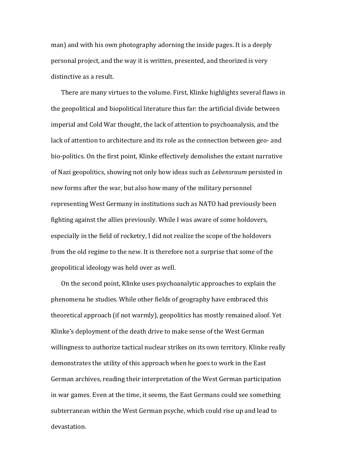man) and with his own photography adorning the inside pages. It is a deeply personal project, and the way it is written, presented, and theorized is very distinctive as a result.

There are many virtues to the volume. First, Klinke highlights several flaws in the geopolitical and biopolitical literature thus far: the artificial divide between imperial and Cold War thought, the lack of attention to psychoanalysis, and the lack of attention to architecture and its role as the connection between geo- and bio-politics. On the first point, Klinke effectively demolishes the extant narrative of Nazi geopolitics, showing not only how ideas such as *Lebensraum* persisted in new forms after the war, but also how many of the military personnel representing West Germany in institutions such as NATO had previously been fighting against the allies previously. While I was aware of some holdovers, especially in the field of rocketry, I did not realize the scope of the holdovers from the old regime to the new. It is therefore not a surprise that some of the geopolitical ideology was held over as well.

On the second point, Klinke uses psychoanalytic approaches to explain the phenomena he studies. While other fields of geography have embraced this theoretical approach (if not warmly), geopolitics has mostly remained aloof. Yet Klinke's deployment of the death drive to make sense of the West German willingness to authorize tactical nuclear strikes on its own territory. Klinke really demonstrates the utility of this approach when he goes to work in the East German archives, reading their interpretation of the West German participation in war games. Even at the time, it seems, the East Germans could see something subterranean within the West German psyche, which could rise up and lead to devastation.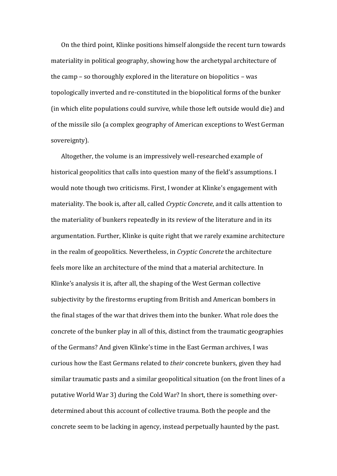On the third point, Klinke positions himself alongside the recent turn towards materiality in political geography, showing how the archetypal architecture of the camp – so thoroughly explored in the literature on biopolitics – was topologically inverted and re-constituted in the biopolitical forms of the bunker (in which elite populations could survive, while those left outside would die) and of the missile silo (a complex geography of American exceptions to West German sovereignty).

Altogether, the volume is an impressively well-researched example of historical geopolitics that calls into question many of the field's assumptions. I would note though two criticisms. First, I wonder at Klinke's engagement with materiality. The book is, after all, called *Cryptic Concrete*, and it calls attention to the materiality of bunkers repeatedly in its review of the literature and in its argumentation. Further, Klinke is quite right that we rarely examine architecture in the realm of geopolitics. Nevertheless, in *Cryptic Concrete* the architecture feels more like an architecture of the mind that a material architecture. In Klinke's analysis it is, after all, the shaping of the West German collective subjectivity by the firestorms erupting from British and American bombers in the final stages of the war that drives them into the bunker. What role does the concrete of the bunker play in all of this, distinct from the traumatic geographies of the Germans? And given Klinke's time in the East German archives, I was curious how the East Germans related to *their* concrete bunkers, given they had similar traumatic pasts and a similar geopolitical situation (on the front lines of a putative World War 3) during the Cold War? In short, there is something overdetermined about this account of collective trauma. Both the people and the concrete seem to be lacking in agency, instead perpetually haunted by the past.